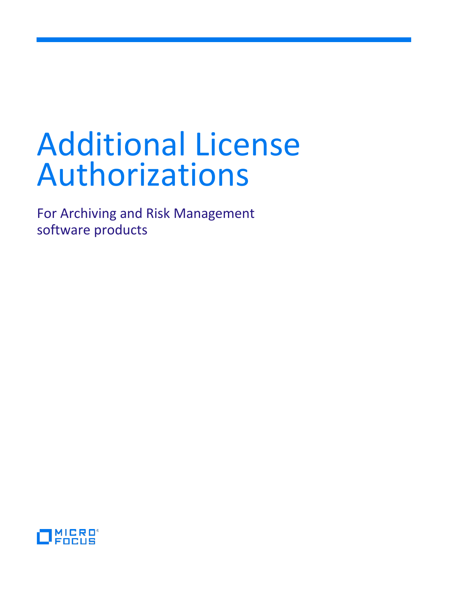# Additional License Authorizations

For Archiving and Risk Management software products

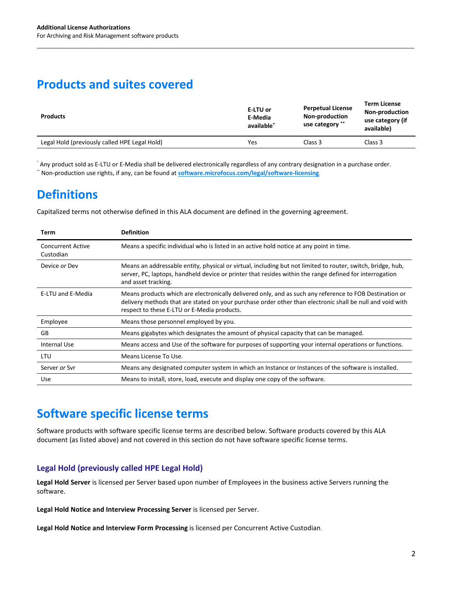# **Products and suites covered**

| E-LTU or<br>E-Media<br>available <sup>*</sup> | <b>Perpetual License</b><br>Non-production<br>use category ** | <b>Term License</b><br><b>Non-production</b><br>use category (if<br>available) |
|-----------------------------------------------|---------------------------------------------------------------|--------------------------------------------------------------------------------|
| Yes                                           | Class 3                                                       | Class 3                                                                        |
|                                               |                                                               |                                                                                |

\* Any product sold as E-LTU or E-Media shall be delivered electronically regardless of any contrary designation in a purchase order. \*\* Non-production use rights, if any, can be found at **[software.microfocus.com/legal/software-licensing](https://software.microfocus.com/legal/software-licensing)**.

# **Definitions**

Capitalized terms not otherwise defined in this ALA document are defined in the governing agreement.

| Term                                  | <b>Definition</b>                                                                                                                                                                                                                                                   |
|---------------------------------------|---------------------------------------------------------------------------------------------------------------------------------------------------------------------------------------------------------------------------------------------------------------------|
| <b>Concurrent Active</b><br>Custodian | Means a specific individual who is listed in an active hold notice at any point in time.                                                                                                                                                                            |
| Device or Dev                         | Means an addressable entity, physical or virtual, including but not limited to router, switch, bridge, hub,<br>server, PC, laptops, handheld device or printer that resides within the range defined for interrogation<br>and asset tracking.                       |
| E-LTU and E-Media                     | Means products which are electronically delivered only, and as such any reference to FOB Destination or<br>delivery methods that are stated on your purchase order other than electronic shall be null and void with<br>respect to these E-LTU or E-Media products. |
| Employee                              | Means those personnel employed by you.                                                                                                                                                                                                                              |
| GB                                    | Means gigabytes which designates the amount of physical capacity that can be managed.                                                                                                                                                                               |
| Internal Use                          | Means access and Use of the software for purposes of supporting your internal operations or functions.                                                                                                                                                              |
| LTU                                   | Means License To Use.                                                                                                                                                                                                                                               |
| Server or Syr                         | Means any designated computer system in which an Instance or Instances of the software is installed.                                                                                                                                                                |
| Use                                   | Means to install, store, load, execute and display one copy of the software.                                                                                                                                                                                        |

### **Software specific license terms**

Software products with software specific license terms are described below. Software products covered by this ALA document (as listed above) and not covered in this section do not have software specific license terms.

#### **Legal Hold (previously called HPE Legal Hold)**

**Legal Hold Server** is licensed per Server based upon number of Employees in the business active Servers running the software.

**Legal Hold Notice and Interview Processing Server** is licensed per Server.

**Legal Hold Notice and Interview Form Processing** is licensed per Concurrent Active Custodian.